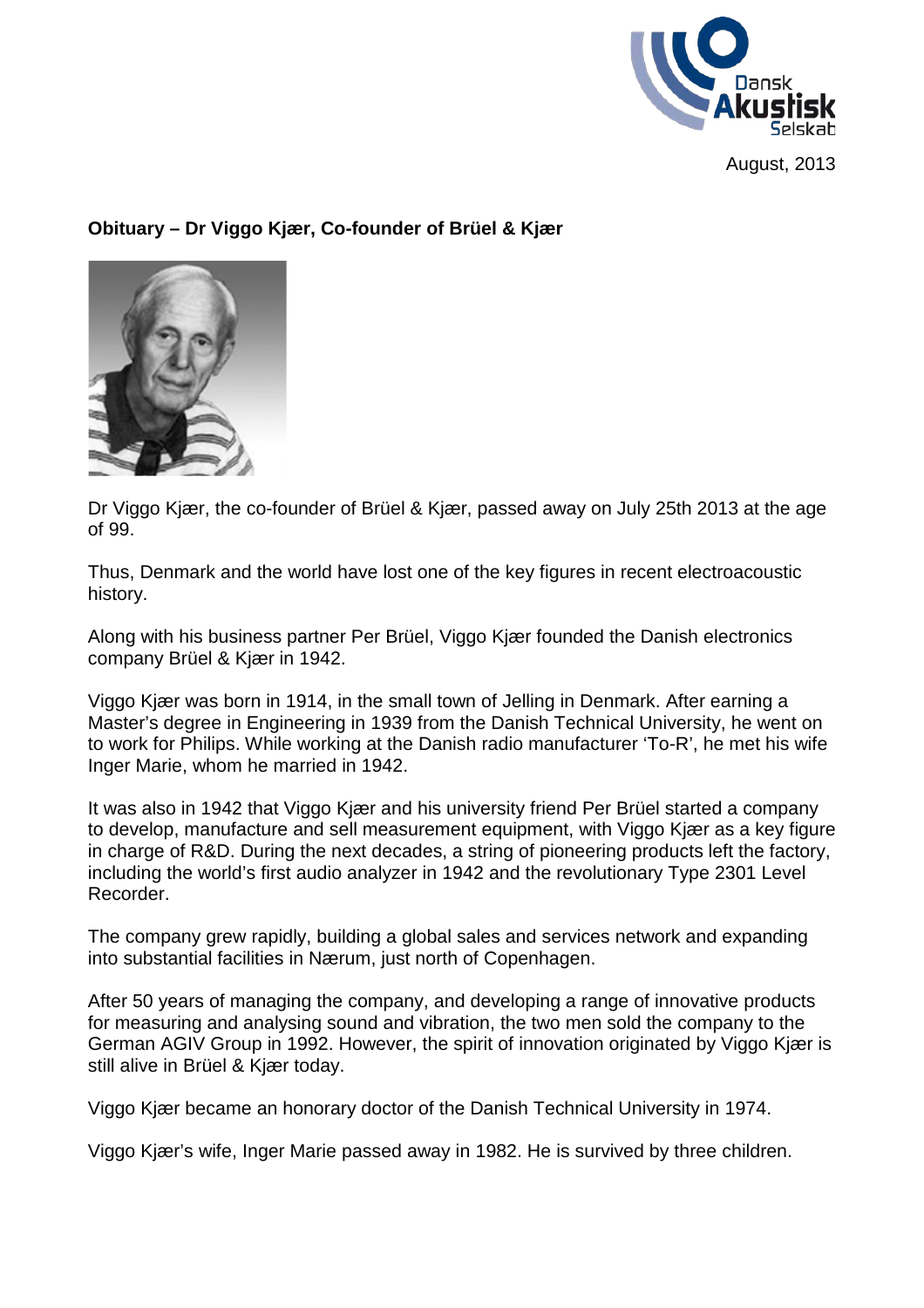

August, 2013

## **Obituary – Dr Viggo Kjær, Co-founder of Brüel & Kjær**



Dr Viggo Kjær, the co-founder of Brüel & Kjær, passed away on July 25th 2013 at the age of 99.

Thus, Denmark and the world have lost one of the key figures in recent electroacoustic history.

Along with his business partner Per Brüel, Viggo Kjær founded the Danish electronics company Brüel & Kjær in 1942.

Viggo Kjær was born in 1914, in the small town of Jelling in Denmark. After earning a Master's degree in Engineering in 1939 from the Danish Technical University, he went on to work for Philips. While working at the Danish radio manufacturer 'To-R', he met his wife Inger Marie, whom he married in 1942.

It was also in 1942 that Viggo Kjær and his university friend Per Brüel started a company to develop, manufacture and sell measurement equipment, with Viggo Kjær as a key figure in charge of R&D. During the next decades, a string of pioneering products left the factory, including the world's first audio analyzer in 1942 and the revolutionary Type 2301 Level Recorder.

The company grew rapidly, building a global sales and services network and expanding into substantial facilities in Nærum, just north of Copenhagen.

After 50 years of managing the company, and developing a range of innovative products for measuring and analysing sound and vibration, the two men sold the company to the German AGIV Group in 1992. However, the spirit of innovation originated by Viggo Kjær is still alive in Brüel & Kjær today.

Viggo Kjær became an honorary doctor of the Danish Technical University in 1974.

Viggo Kjær's wife, Inger Marie passed away in 1982. He is survived by three children.